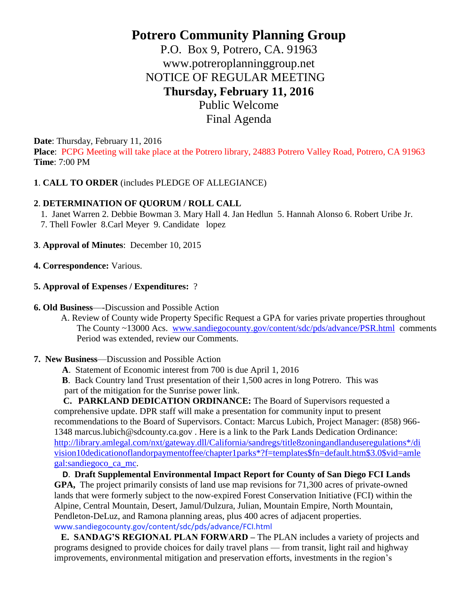# **Potrero Community Planning Group**

P.O. Box 9, Potrero, CA. 91963 www.potreroplanninggroup.net NOTICE OF REGULAR MEETING **Thursday, February 11, 2016**  Public Welcome

Final Agenda

**Date**: Thursday, February 11, 2016

**Place**: PCPG Meeting will take place at the Potrero library, 24883 Potrero Valley Road, Potrero, CA 91963 **Time**: 7:00 PM

# **1**. **CALL TO ORDER** (includes PLEDGE OF ALLEGIANCE)

# **2**. **DETERMINATION OF QUORUM / ROLL CALL**

1. Janet Warren 2. Debbie Bowman 3. Mary Hall 4. Jan Hedlun 5. Hannah Alonso 6. Robert Uribe Jr.

- 7. Thell Fowler 8.Carl Meyer 9. Candidate lopez
- **3**. **Approval of Minutes**: December 10, 2015
- **4. Correspondence:** Various.
- **5. Approval of Expenses / Expenditures:** ?
- **6. Old Business**—-Discussion and Possible Action

 A. Review of County wide Property Specific Request a GPA for varies private properties throughout The County ~13000 Acs. [www.sandiegocounty.gov/content/sdc/pds/advance/PSR.html](http://www.sandiegocounty.gov/content/sdc/pds/advance/PSR.html) comments Period was extended, review our Comments.

**7. New Business**—Discussion and Possible Action

**A**. Statement of Economic interest from 700 is due April 1, 2016

 **B**. Back Country land Trust presentation of their 1,500 acres in long Potrero. This was part of the mitigation for the Sunrise power link.

 **C. PARKLAND DEDICATION ORDINANCE:** The Board of Supervisors requested a comprehensive update. DPR staff will make a presentation for community input to present recommendations to the Board of Supervisors. Contact: Marcus Lubich, Project Manager: (858) 966- 1348 marcus.lubich@sdcounty.ca.gov . Here is a link to the Park Lands Dedication Ordinance: [http://library.amlegal.com/nxt/gateway.dll/California/sandregs/title8zoningandlanduseregulations\\*/di](http://library.amlegal.com/nxt/gateway.dll/California/sandregs/title8zoningandlanduseregulations*/division10dedicationoflandorpaymentoffee/chapter1parks*?f=templates$fn=default.htm$3.0$vid=amlegal:sandiegoco_ca_mc) [vision10dedicationoflandorpaymentoffee/chapter1parks\\*?f=templates\\$fn=default.htm\\$3.0\\$vid=amle](http://library.amlegal.com/nxt/gateway.dll/California/sandregs/title8zoningandlanduseregulations*/division10dedicationoflandorpaymentoffee/chapter1parks*?f=templates$fn=default.htm$3.0$vid=amlegal:sandiegoco_ca_mc) [gal:sandiegoco\\_ca\\_mc.](http://library.amlegal.com/nxt/gateway.dll/California/sandregs/title8zoningandlanduseregulations*/division10dedicationoflandorpaymentoffee/chapter1parks*?f=templates$fn=default.htm$3.0$vid=amlegal:sandiegoco_ca_mc)

 **D**. **Draft Supplemental Environmental Impact Report for County of San Diego FCI Lands GPA,** The project primarily consists of land use map revisions for 71,300 acres of private-owned lands that were formerly subject to the now-expired Forest Conservation Initiative (FCI) within the Alpine, Central Mountain, Desert, Jamul/Dulzura, Julian, Mountain Empire, North Mountain, Pendleton-DeLuz, and Ramona planning areas, plus 400 acres of adjacent properties. www.sandiegocounty.gov/content/sdc/pds/advance/FCI.html

 **E. SANDAG'S REGIONAL PLAN FORWARD –** The PLAN includes a variety of projects and programs designed to provide choices for daily travel plans — from transit, light rail and highway improvements, environmental mitigation and preservation efforts, investments in the region's